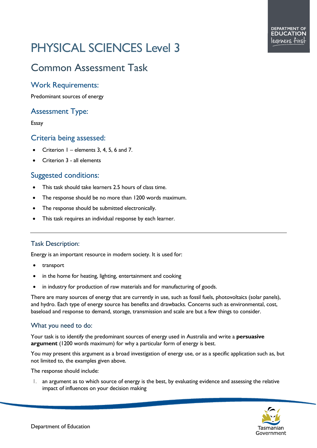# PHYSICAL SCIENCES Level 3

# Common Assessment Task

## Work Requirements:

Predominant sources of energy

# Assessment Type:

Essay

#### Criteria being assessed:

- Criterion  $1$  elements 3, 4, 5, 6 and 7.
- Criterion 3 all elements

### Suggested conditions:

- This task should take learners 2.5 hours of class time.
- The response should be no more than 1200 words maximum.
- The response should be submitted electronically.
- This task requires an individual response by each learner.

#### Task Description:

Energy is an important resource in modern society. It is used for:

- transport
- in the home for heating, lighting, entertainment and cooking
- in industry for production of raw materials and for manufacturing of goods.

There are many sources of energy that are currently in use, such as fossil fuels, photovoltaics (solar panels), and hydro. Each type of energy source has benefits and drawbacks. Concerns such as environmental, cost, baseload and response to demand, storage, transmission and scale are but a few things to consider.

#### What you need to do:

Your task is to identify the predominant sources of energy used in Australia and write a **persuasive argument** (1200 words maximum) for why a particular form of energy is best.

You may present this argument as a broad investigation of energy use, or as a specific application such as, but not limited to, the examples given above.

The response should include:

1. an argument as to which source of energy is the best, by evaluating evidence and assessing the relative impact of influences on your decision making